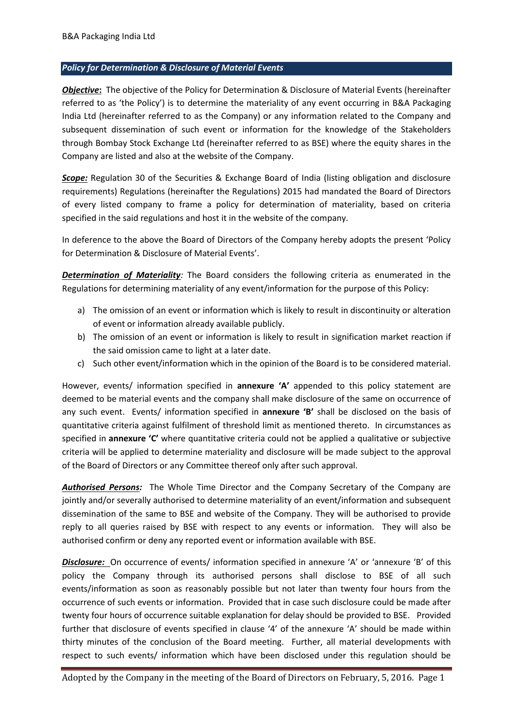## *Policy for Determination & Disclosure of Material Events*

*Objective***:** The objective of the Policy for Determination & Disclosure of Material Events (hereinafter referred to as 'the Policy') is to determine the materiality of any event occurring in B&A Packaging India Ltd (hereinafter referred to as the Company) or any information related to the Company and subsequent dissemination of such event or information for the knowledge of the Stakeholders through Bombay Stock Exchange Ltd (hereinafter referred to as BSE) where the equity shares in the Company are listed and also at the website of the Company.

*Scope:* Regulation 30 of the Securities & Exchange Board of India (listing obligation and disclosure requirements) Regulations (hereinafter the Regulations) 2015 had mandated the Board of Directors of every listed company to frame a policy for determination of materiality, based on criteria specified in the said regulations and host it in the website of the company.

In deference to the above the Board of Directors of the Company hereby adopts the present 'Policy for Determination & Disclosure of Material Events'.

*Determination of Materiality:* The Board considers the following criteria as enumerated in the Regulations for determining materiality of any event/information for the purpose of this Policy:

- a) The omission of an event or information which is likely to result in discontinuity or alteration of event or information already available publicly.
- b) The omission of an event or information is likely to result in signification market reaction if the said omission came to light at a later date.
- c) Such other event/information which in the opinion of the Board is to be considered material.

However, events/ information specified in **annexure 'A'** appended to this policy statement are deemed to be material events and the company shall make disclosure of the same on occurrence of any such event. Events/ information specified in **annexure 'B'** shall be disclosed on the basis of quantitative criteria against fulfilment of threshold limit as mentioned thereto. In circumstances as specified in **annexure 'C'** where quantitative criteria could not be applied a qualitative or subjective criteria will be applied to determine materiality and disclosure will be made subject to the approval of the Board of Directors or any Committee thereof only after such approval.

*Authorised Persons:* The Whole Time Director and the Company Secretary of the Company are jointly and/or severally authorised to determine materiality of an event/information and subsequent dissemination of the same to BSE and website of the Company. They will be authorised to provide reply to all queries raised by BSE with respect to any events or information. They will also be authorised confirm or deny any reported event or information available with BSE.

*Disclosure:* On occurrence of events/ information specified in annexure 'A' or 'annexure 'B' of this policy the Company through its authorised persons shall disclose to BSE of all such events/information as soon as reasonably possible but not later than twenty four hours from the occurrence of such events or information. Provided that in case such disclosure could be made after twenty four hours of occurrence suitable explanation for delay should be provided to BSE. Provided further that disclosure of events specified in clause '4' of the annexure 'A' should be made within thirty minutes of the conclusion of the Board meeting. Further, all material developments with respect to such events/ information which have been disclosed under this regulation should be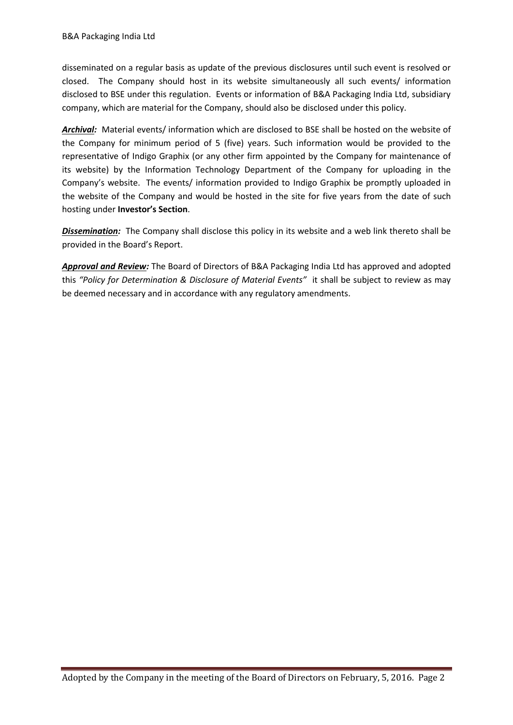disseminated on a regular basis as update of the previous disclosures until such event is resolved or closed. The Company should host in its website simultaneously all such events/ information disclosed to BSE under this regulation. Events or information of B&A Packaging India Ltd, subsidiary company, which are material for the Company, should also be disclosed under this policy.

*Archival:* Material events/ information which are disclosed to BSE shall be hosted on the website of the Company for minimum period of 5 (five) years. Such information would be provided to the representative of Indigo Graphix (or any other firm appointed by the Company for maintenance of its website) by the Information Technology Department of the Company for uploading in the Company's website. The events/ information provided to Indigo Graphix be promptly uploaded in the website of the Company and would be hosted in the site for five years from the date of such hosting under **Investor's Section**.

*Dissemination:* The Company shall disclose this policy in its website and a web link thereto shall be provided in the Board's Report.

*Approval and Review:* The Board of Directors of B&A Packaging India Ltd has approved and adopted this *"Policy for Determination & Disclosure of Material Events"* it shall be subject to review as may be deemed necessary and in accordance with any regulatory amendments.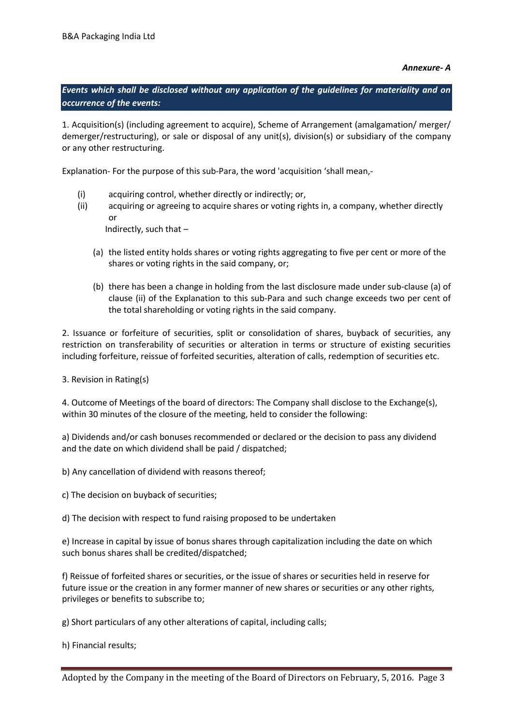## *Annexure- A*

*Events which shall be disclosed without any application of the guidelines for materiality and on occurrence of the events:* 

1. Acquisition(s) (including agreement to acquire), Scheme of Arrangement (amalgamation/ merger/ demerger/restructuring), or sale or disposal of any unit(s), division(s) or subsidiary of the company or any other restructuring.

Explanation- For the purpose of this sub-Para, the word 'acquisition 'shall mean,-

- (i) acquiring control, whether directly or indirectly; or,
- (ii) acquiring or agreeing to acquire shares or voting rights in, a company, whether directly or

Indirectly, such that –

- (a) the listed entity holds shares or voting rights aggregating to five per cent or more of the shares or voting rights in the said company, or;
- (b) there has been a change in holding from the last disclosure made under sub-clause (a) of clause (ii) of the Explanation to this sub-Para and such change exceeds two per cent of the total shareholding or voting rights in the said company.

2. Issuance or forfeiture of securities, split or consolidation of shares, buyback of securities, any restriction on transferability of securities or alteration in terms or structure of existing securities including forfeiture, reissue of forfeited securities, alteration of calls, redemption of securities etc.

3. Revision in Rating(s)

4. Outcome of Meetings of the board of directors: The Company shall disclose to the Exchange(s), within 30 minutes of the closure of the meeting, held to consider the following:

a) Dividends and/or cash bonuses recommended or declared or the decision to pass any dividend and the date on which dividend shall be paid / dispatched;

b) Any cancellation of dividend with reasons thereof;

c) The decision on buyback of securities;

d) The decision with respect to fund raising proposed to be undertaken

e) Increase in capital by issue of bonus shares through capitalization including the date on which such bonus shares shall be credited/dispatched;

f) Reissue of forfeited shares or securities, or the issue of shares or securities held in reserve for future issue or the creation in any former manner of new shares or securities or any other rights, privileges or benefits to subscribe to;

g) Short particulars of any other alterations of capital, including calls;

h) Financial results;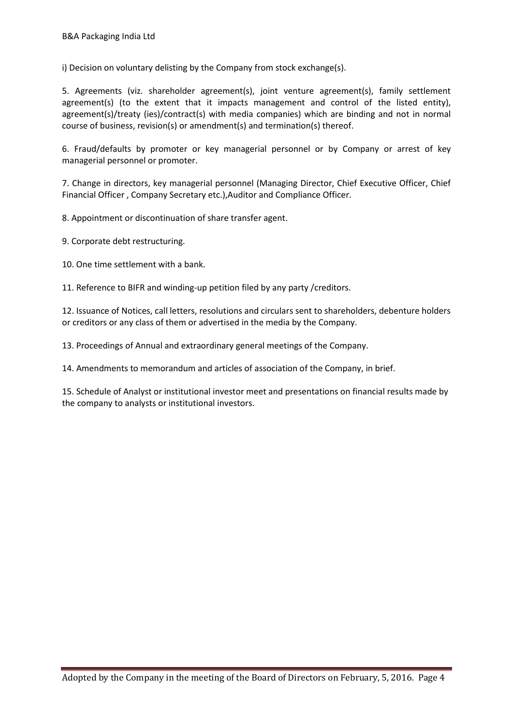i) Decision on voluntary delisting by the Company from stock exchange(s).

5. Agreements (viz. shareholder agreement(s), joint venture agreement(s), family settlement agreement(s) (to the extent that it impacts management and control of the listed entity), agreement(s)/treaty (ies)/contract(s) with media companies) which are binding and not in normal course of business, revision(s) or amendment(s) and termination(s) thereof.

6. Fraud/defaults by promoter or key managerial personnel or by Company or arrest of key managerial personnel or promoter.

7. Change in directors, key managerial personnel (Managing Director, Chief Executive Officer, Chief Financial Officer , Company Secretary etc.),Auditor and Compliance Officer.

8. Appointment or discontinuation of share transfer agent.

9. Corporate debt restructuring.

10. One time settlement with a bank.

11. Reference to BIFR and winding-up petition filed by any party /creditors.

12. Issuance of Notices, call letters, resolutions and circulars sent to shareholders, debenture holders or creditors or any class of them or advertised in the media by the Company.

13. Proceedings of Annual and extraordinary general meetings of the Company.

14. Amendments to memorandum and articles of association of the Company, in brief.

15. Schedule of Analyst or institutional investor meet and presentations on financial results made by the company to analysts or institutional investors.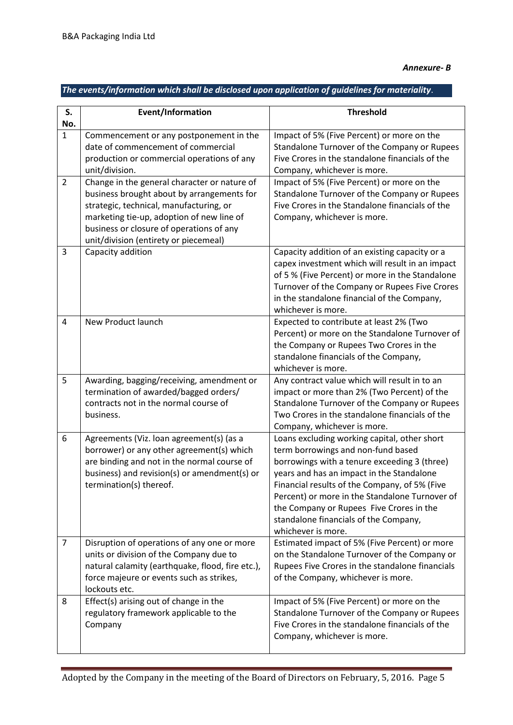## *The events/information which shall be disclosed upon application of guidelines for materiality*.

| S.<br>No.      | Event/Information                                                                                                                                                                                                                                                       | <b>Threshold</b>                                                                                                                                                                                                                                                                                                                                                                              |
|----------------|-------------------------------------------------------------------------------------------------------------------------------------------------------------------------------------------------------------------------------------------------------------------------|-----------------------------------------------------------------------------------------------------------------------------------------------------------------------------------------------------------------------------------------------------------------------------------------------------------------------------------------------------------------------------------------------|
| $\mathbf{1}$   | Commencement or any postponement in the<br>date of commencement of commercial<br>production or commercial operations of any<br>unit/division.                                                                                                                           | Impact of 5% (Five Percent) or more on the<br>Standalone Turnover of the Company or Rupees<br>Five Crores in the standalone financials of the<br>Company, whichever is more.                                                                                                                                                                                                                  |
| $\overline{2}$ | Change in the general character or nature of<br>business brought about by arrangements for<br>strategic, technical, manufacturing, or<br>marketing tie-up, adoption of new line of<br>business or closure of operations of any<br>unit/division (entirety or piecemeal) | Impact of 5% (Five Percent) or more on the<br>Standalone Turnover of the Company or Rupees<br>Five Crores in the Standalone financials of the<br>Company, whichever is more.                                                                                                                                                                                                                  |
| 3              | Capacity addition                                                                                                                                                                                                                                                       | Capacity addition of an existing capacity or a<br>capex investment which will result in an impact<br>of 5 % (Five Percent) or more in the Standalone<br>Turnover of the Company or Rupees Five Crores<br>in the standalone financial of the Company,<br>whichever is more.                                                                                                                    |
| $\overline{4}$ | New Product launch                                                                                                                                                                                                                                                      | Expected to contribute at least 2% (Two<br>Percent) or more on the Standalone Turnover of<br>the Company or Rupees Two Crores in the<br>standalone financials of the Company,<br>whichever is more.                                                                                                                                                                                           |
| 5              | Awarding, bagging/receiving, amendment or<br>termination of awarded/bagged orders/<br>contracts not in the normal course of<br>business.                                                                                                                                | Any contract value which will result in to an<br>impact or more than 2% (Two Percent) of the<br>Standalone Turnover of the Company or Rupees<br>Two Crores in the standalone financials of the<br>Company, whichever is more.                                                                                                                                                                 |
| 6              | Agreements (Viz. loan agreement(s) (as a<br>borrower) or any other agreement(s) which<br>are binding and not in the normal course of<br>business) and revision(s) or amendment(s) or<br>termination(s) thereof.                                                         | Loans excluding working capital, other short<br>term borrowings and non-fund based<br>borrowings with a tenure exceeding 3 (three)<br>years and has an impact in the Standalone<br>Financial results of the Company, of 5% (Five<br>Percent) or more in the Standalone Turnover of<br>the Company or Rupees Five Crores in the<br>standalone financials of the Company,<br>whichever is more. |
| $\overline{7}$ | Disruption of operations of any one or more<br>units or division of the Company due to<br>natural calamity (earthquake, flood, fire etc.),<br>force majeure or events such as strikes,<br>lockouts etc.                                                                 | Estimated impact of 5% (Five Percent) or more<br>on the Standalone Turnover of the Company or<br>Rupees Five Crores in the standalone financials<br>of the Company, whichever is more.                                                                                                                                                                                                        |
| 8              | Effect(s) arising out of change in the<br>regulatory framework applicable to the<br>Company                                                                                                                                                                             | Impact of 5% (Five Percent) or more on the<br>Standalone Turnover of the Company or Rupees<br>Five Crores in the standalone financials of the<br>Company, whichever is more.                                                                                                                                                                                                                  |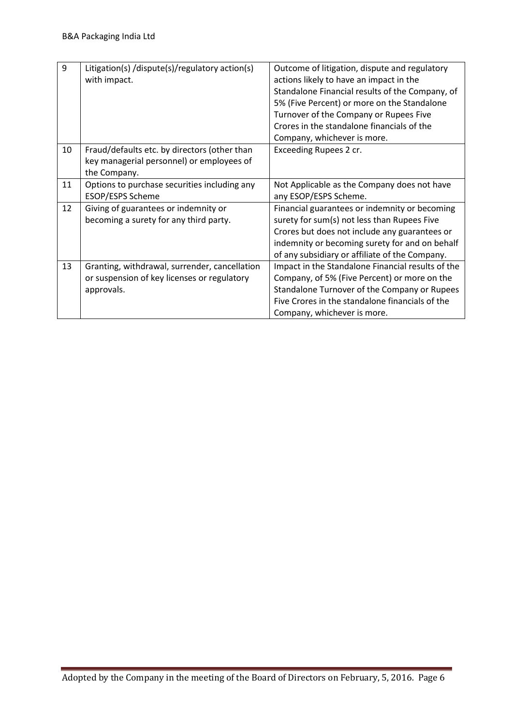| 9  | Litigation(s) /dispute(s)/regulatory action(s)<br>with impact.                                             | Outcome of litigation, dispute and regulatory<br>actions likely to have an impact in the<br>Standalone Financial results of the Company, of<br>5% (Five Percent) or more on the Standalone<br>Turnover of the Company or Rupees Five<br>Crores in the standalone financials of the<br>Company, whichever is more. |
|----|------------------------------------------------------------------------------------------------------------|-------------------------------------------------------------------------------------------------------------------------------------------------------------------------------------------------------------------------------------------------------------------------------------------------------------------|
| 10 | Fraud/defaults etc. by directors (other than<br>key managerial personnel) or employees of<br>the Company.  | Exceeding Rupees 2 cr.                                                                                                                                                                                                                                                                                            |
| 11 | Options to purchase securities including any<br>ESOP/ESPS Scheme                                           | Not Applicable as the Company does not have<br>any ESOP/ESPS Scheme.                                                                                                                                                                                                                                              |
| 12 | Giving of guarantees or indemnity or<br>becoming a surety for any third party.                             | Financial guarantees or indemnity or becoming<br>surety for sum(s) not less than Rupees Five<br>Crores but does not include any guarantees or<br>indemnity or becoming surety for and on behalf<br>of any subsidiary or affiliate of the Company.                                                                 |
| 13 | Granting, withdrawal, surrender, cancellation<br>or suspension of key licenses or regulatory<br>approvals. | Impact in the Standalone Financial results of the<br>Company, of 5% (Five Percent) or more on the<br>Standalone Turnover of the Company or Rupees<br>Five Crores in the standalone financials of the<br>Company, whichever is more.                                                                               |